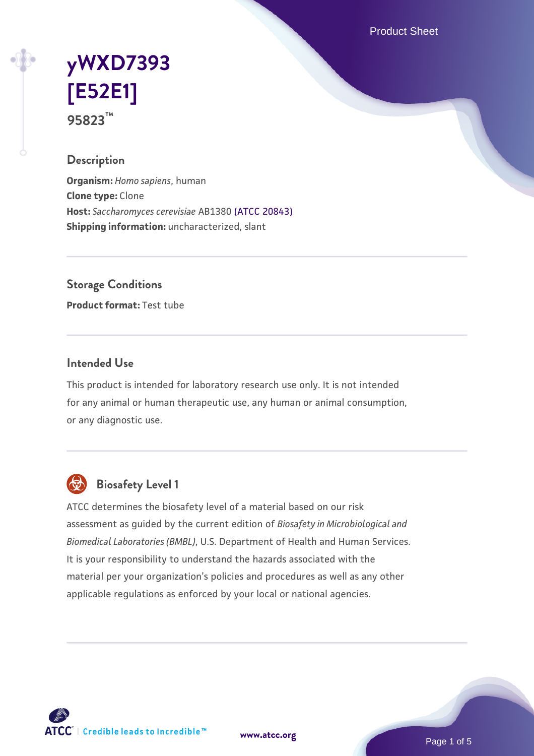Product Sheet

# **[yWXD7393](https://www.atcc.org/products/95823) [\[E52E1\]](https://www.atcc.org/products/95823) 95823™**

## **Description**

**Organism:** *Homo sapiens*, human **Clone type:** Clone **Host:** *Saccharomyces cerevisiae* AB1380 [\(ATCC 20843\)](https://www.atcc.org/products/20843) **Shipping information:** uncharacterized, slant

**Storage Conditions**

**Product format:** Test tube

### **Intended Use**

This product is intended for laboratory research use only. It is not intended for any animal or human therapeutic use, any human or animal consumption, or any diagnostic use.



## **Biosafety Level 1**

ATCC determines the biosafety level of a material based on our risk assessment as guided by the current edition of *Biosafety in Microbiological and Biomedical Laboratories (BMBL)*, U.S. Department of Health and Human Services. It is your responsibility to understand the hazards associated with the material per your organization's policies and procedures as well as any other applicable regulations as enforced by your local or national agencies.

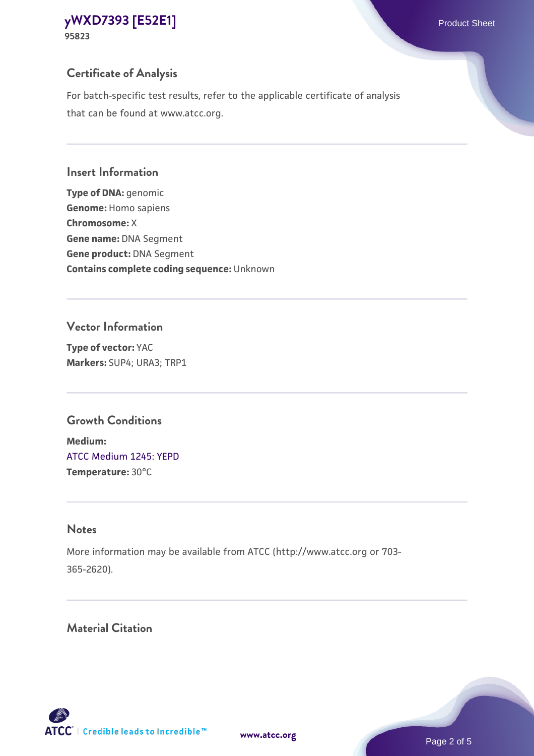## **Certificate of Analysis**

For batch-specific test results, refer to the applicable certificate of analysis that can be found at www.atcc.org.

#### **Insert Information**

**Type of DNA:** genomic **Genome:** Homo sapiens **Chromosome:** X **Gene name:** DNA Segment **Gene product:** DNA Segment **Contains complete coding sequence:** Unknown

### **Vector Information**

**Type of vector:** YAC **Markers:** SUP4; URA3; TRP1

## **Growth Conditions**

**Medium:**  [ATCC Medium 1245: YEPD](https://www.atcc.org/-/media/product-assets/documents/microbial-media-formulations/1/2/4/5/atcc-medium-1245.pdf?rev=705ca55d1b6f490a808a965d5c072196) **Temperature:** 30°C

## **Notes**

More information may be available from ATCC (http://www.atcc.org or 703- 365-2620).

## **Material Citation**

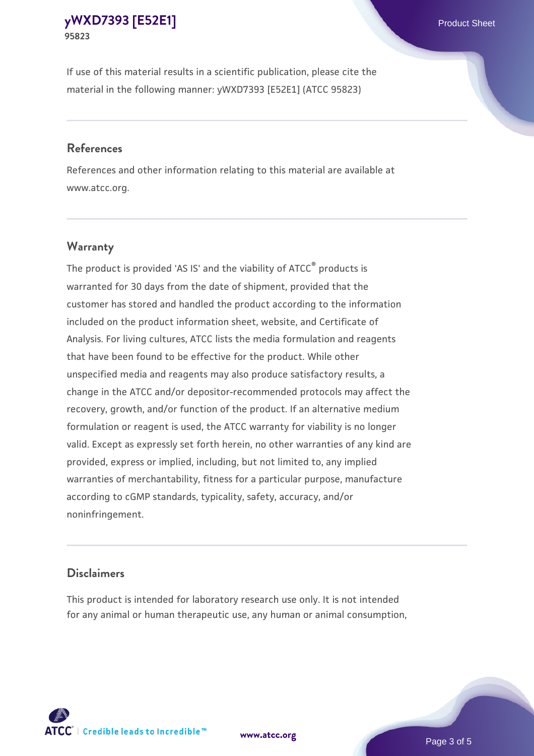If use of this material results in a scientific publication, please cite the material in the following manner: yWXD7393 [E52E1] (ATCC 95823)

#### **References**

References and other information relating to this material are available at www.atcc.org.

## **Warranty**

The product is provided 'AS IS' and the viability of  $ATCC<sup>®</sup>$  products is warranted for 30 days from the date of shipment, provided that the customer has stored and handled the product according to the information included on the product information sheet, website, and Certificate of Analysis. For living cultures, ATCC lists the media formulation and reagents that have been found to be effective for the product. While other unspecified media and reagents may also produce satisfactory results, a change in the ATCC and/or depositor-recommended protocols may affect the recovery, growth, and/or function of the product. If an alternative medium formulation or reagent is used, the ATCC warranty for viability is no longer valid. Except as expressly set forth herein, no other warranties of any kind are provided, express or implied, including, but not limited to, any implied warranties of merchantability, fitness for a particular purpose, manufacture according to cGMP standards, typicality, safety, accuracy, and/or noninfringement.

#### **Disclaimers**

This product is intended for laboratory research use only. It is not intended for any animal or human therapeutic use, any human or animal consumption,

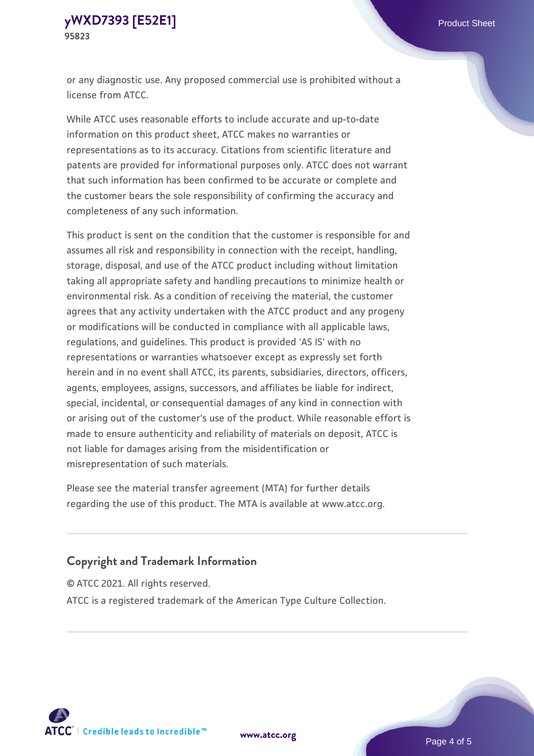or any diagnostic use. Any proposed commercial use is prohibited without a license from ATCC.

While ATCC uses reasonable efforts to include accurate and up-to-date information on this product sheet, ATCC makes no warranties or representations as to its accuracy. Citations from scientific literature and patents are provided for informational purposes only. ATCC does not warrant that such information has been confirmed to be accurate or complete and the customer bears the sole responsibility of confirming the accuracy and completeness of any such information.

This product is sent on the condition that the customer is responsible for and assumes all risk and responsibility in connection with the receipt, handling, storage, disposal, and use of the ATCC product including without limitation taking all appropriate safety and handling precautions to minimize health or environmental risk. As a condition of receiving the material, the customer agrees that any activity undertaken with the ATCC product and any progeny or modifications will be conducted in compliance with all applicable laws, regulations, and guidelines. This product is provided 'AS IS' with no representations or warranties whatsoever except as expressly set forth herein and in no event shall ATCC, its parents, subsidiaries, directors, officers, agents, employees, assigns, successors, and affiliates be liable for indirect, special, incidental, or consequential damages of any kind in connection with or arising out of the customer's use of the product. While reasonable effort is made to ensure authenticity and reliability of materials on deposit, ATCC is not liable for damages arising from the misidentification or misrepresentation of such materials.

Please see the material transfer agreement (MTA) for further details regarding the use of this product. The MTA is available at www.atcc.org.

## **Copyright and Trademark Information**

© ATCC 2021. All rights reserved.

ATCC is a registered trademark of the American Type Culture Collection.



**[www.atcc.org](http://www.atcc.org)**

Page 4 of 5